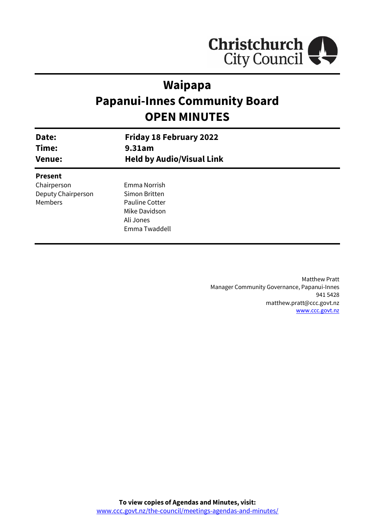

# **Waipapa Papanui-Innes Community Board OPEN MINUTES**

| Date:<br>Time:<br><b>Venue:</b> | <b>Friday 18 February 2022</b><br>9.31am<br><b>Held by Audio/Visual Link</b> |  |
|---------------------------------|------------------------------------------------------------------------------|--|
| <b>Present</b>                  |                                                                              |  |
| Chairperson                     | Emma Norrish                                                                 |  |
| Deputy Chairperson              | Simon Britten                                                                |  |
| <b>Members</b>                  | <b>Pauline Cotter</b>                                                        |  |
|                                 | Mike Davidson                                                                |  |
|                                 | Ali Jones                                                                    |  |
|                                 | Emma Twaddell                                                                |  |
|                                 |                                                                              |  |

Matthew Pratt Manager Community Governance, Papanui-Innes 941 5428 matthew.pratt@ccc.govt.nz [www.ccc.govt.nz](http://www.ccc.govt.nz/)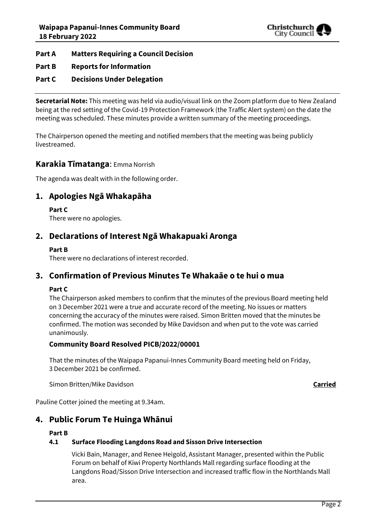

#### **Part A Matters Requiring a Council Decision**

#### **Part B Reports for Information**

#### **Part C Decisions Under Delegation**

**Secretarial Note:** This meeting was held via audio/visual link on the Zoom platform due to New Zealand being at the red setting of the Covid-19 Protection Framework (the Traffic Alert system) on the date the meeting was scheduled. These minutes provide a written summary of the meeting proceedings.

The Chairperson opened the meeting and notified members that the meeting was being publicly livestreamed.

#### **Karakia Tīmatanga**: Emma Norrish

The agenda was dealt with in the following order.

# **1. Apologies Ngā Whakapāha**

**Part C** 

There were no apologies.

# **2. Declarations of Interest Ngā Whakapuaki Aronga**

#### **Part B**

There were no declarations of interest recorded.

## **3. Confirmation of Previous Minutes Te Whakaāe o te hui o mua**

#### **Part C**

The Chairperson asked members to confirm that the minutes of the previous Board meeting held on 3 December 2021 were a true and accurate record of the meeting. No issues or matters concerning the accuracy of the minutes were raised. Simon Britten moved that the minutes be confirmed. The motion was seconded by Mike Davidson and when put to the vote was carried unanimously.

#### **Community Board Resolved PICB/2022/00001**

That the minutes of the Waipapa Papanui-Innes Community Board meeting held on Friday, 3 December 2021 be confirmed.

Simon Britten/Mike Davidson **Carried**

Pauline Cotter joined the meeting at 9.34am.

## **4. Public Forum Te Huinga Whānui**

#### **Part B**

#### **4.1 Surface Flooding Langdons Road and Sisson Drive Intersection**

Vicki Bain, Manager, and Renee Heigold, Assistant Manager, presented within the Public Forum on behalf of Kiwi Property Northlands Mall regarding surface flooding at the Langdons Road/Sisson Drive Intersection and increased traffic flow in the Northlands Mall area.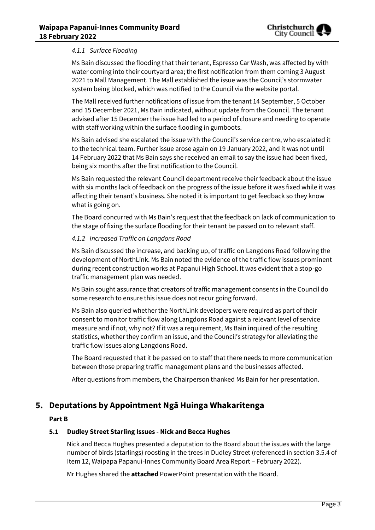#### *4.1.1 Surface Flooding*

Ms Bain discussed the flooding that their tenant, Espresso Car Wash, was affected by with water coming into their courtyard area; the first notification from them coming 3 August 2021 to Mall Management. The Mall established the issue was the Council's stormwater system being blocked, which was notified to the Council via the website portal.

The Mall received further notifications of issue from the tenant 14 September, 5 October and 15 December 2021, Ms Bain indicated, without update from the Council. The tenant advised after 15 December the issue had led to a period of closure and needing to operate with staff working within the surface flooding in gumboots.

Ms Bain advised she escalated the issue with the Council's service centre, who escalated it to the technical team. Further issue arose again on 19 January 2022, and it was not until 14 February 2022 that Ms Bain says she received an email to say the issue had been fixed, being six months after the first notification to the Council.

Ms Bain requested the relevant Council department receive their feedback about the issue with six months lack of feedback on the progress of the issue before it was fixed while it was affecting their tenant's business. She noted it is important to get feedback so they know what is going on.

The Board concurred with Ms Bain's request that the feedback on lack of communication to the stage of fixing the surface flooding for their tenant be passed on to relevant staff.

#### *4.1.2 Increased Traffic on Langdons Road*

Ms Bain discussed the increase, and backing up, of traffic on Langdons Road following the development of NorthLink. Ms Bain noted the evidence of the traffic flow issues prominent during recent construction works at Papanui High School. It was evident that a stop-go traffic management plan was needed.

Ms Bain sought assurance that creators of traffic management consents in the Council do some research to ensure this issue does not recur going forward.

Ms Bain also queried whether the NorthLink developers were required as part of their consent to monitor traffic flow along Langdons Road against a relevant level of service measure and if not, why not? If it was a requirement, Ms Bain inquired of the resulting statistics, whether they confirm an issue, and the Council's strategy for alleviating the traffic flow issues along Langdons Road.

The Board requested that it be passed on to staff that there needs to more communication between those preparing traffic management plans and the businesses affected.

After questions from members, the Chairperson thanked Ms Bain for her presentation.

## **5. Deputations by Appointment Ngā Huinga Whakaritenga**

#### **Part B**

#### **5.1 Dudley Street Starling Issues - Nick and Becca Hughes**

Nick and Becca Hughes presented a deputation to the Board about the issues with the large number of birds (starlings) roosting in the trees in Dudley Street (referenced in section 3.5.4 of Item 12, Waipapa Papanui-Innes Community Board Area Report – February 2022).

Mr Hughes shared the **attached** PowerPoint presentation with the Board.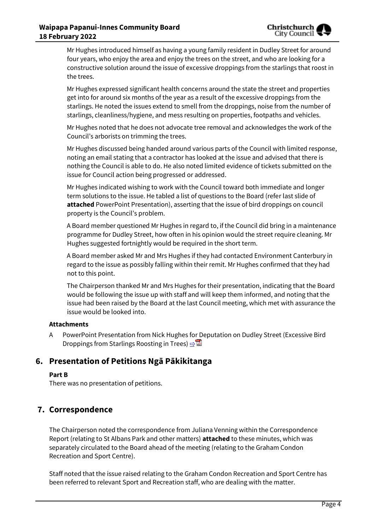Mr Hughes introduced himself as having a young family resident in Dudley Street for around four years, who enjoy the area and enjoy the trees on the street, and who are looking for a constructive solution around the issue of excessive droppings from the starlings that roost in the trees.

Mr Hughes expressed significant health concerns around the state the street and properties get into for around six months of the year as a result of the excessive droppings from the starlings. He noted the issues extend to smell from the droppings, noise from the number of starlings, cleanliness/hygiene, and mess resulting on properties, footpaths and vehicles.

Mr Hughes noted that he does not advocate tree removal and acknowledges the work of the Council's arborists on trimming the trees.

Mr Hughes discussed being handed around various parts of the Council with limited response, noting an email stating that a contractor has looked at the issue and advised that there is nothing the Council is able to do. He also noted limited evidence of tickets submitted on the issue for Council action being progressed or addressed.

Mr Hughes indicated wishing to work with the Council toward both immediate and longer term solutions to the issue. He tabled a list of questions to the Board (refer last slide of **attached** PowerPoint Presentation), asserting that the issue of bird droppings on council property is the Council's problem.

A Board member questioned Mr Hughes in regard to, if the Council did bring in a maintenance programme for Dudley Street, how often in his opinion would the street require cleaning. Mr Hughes suggested fortnightly would be required in the short term.

A Board member asked Mr and Mrs Hughes if they had contacted Environment Canterbury in regard to the issue as possibly falling within their remit. Mr Hughes confirmed that they had not to this point.

The Chairperson thanked Mr and Mrs Hughes for their presentation, indicating that the Board would be following the issue up with staff and will keep them informed, and noting that the issue had been raised by the Board at the last Council meeting, which met with assurance the issue would be looked into.

#### **Attachments**

A PowerPoint Presentation from Nick Hughes for Deputation on Dudley Street (Excessive Bird Droppings from Starlings Roosting in Trees) **[⇨](../../../RedirectToInvalidFileName.aspx?FileName=PICB_20220218_MAT_7644.PDF#PAGE=3)</u>** 

# **6. Presentation of Petitions Ngā Pākikitanga**

#### **Part B**

There was no presentation of petitions.

# **7. Correspondence**

The Chairperson noted the correspondence from Juliana Venning within the Correspondence Report (relating to St Albans Park and other matters) **attached** to these minutes, which was separately circulated to the Board ahead of the meeting (relating to the Graham Condon Recreation and Sport Centre).

Staff noted that the issue raised relating to the Graham Condon Recreation and Sport Centre has been referred to relevant Sport and Recreation staff, who are dealing with the matter.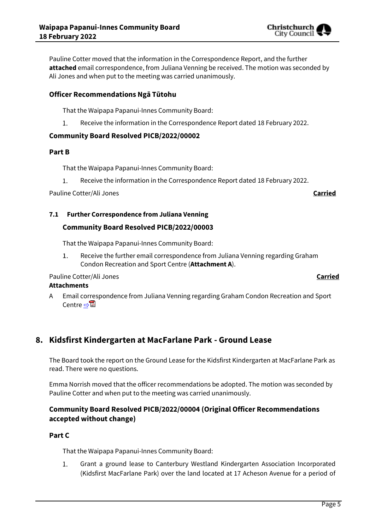Pauline Cotter moved that the information in the Correspondence Report, and the further

**attached** email correspondence, from Juliana Venning be received. The motion was seconded by Ali Jones and when put to the meeting was carried unanimously.

#### **Officer Recommendations Ngā Tūtohu**

That the Waipapa Papanui-Innes Community Board:

Receive the information in the Correspondence Report dated 18 February 2022.  $\mathbf{1}$ .

#### **Community Board Resolved PICB/2022/00002**

#### **Part B**

That the Waipapa Papanui-Innes Community Board:

1. Receive the information in the Correspondence Report dated 18 February 2022.

Pauline Cotter/Ali Jones **Carried**

Christchurch City Counci

#### **7.1 Further Correspondence from Juliana Venning**

#### **Community Board Resolved PICB/2022/00003**

That the Waipapa Papanui-Innes Community Board:

Receive the further email correspondence from Juliana Venning regarding Graham 1. Condon Recreation and Sport Centre (**Attachment A**).

#### Pauline Cotter/Ali Jones **Carried**

#### **Attachments**

A Email correspondence from Juliana Venning regarding Graham Condon Recreation and Sport Centre ⇒

# **8. Kidsfirst Kindergarten at MacFarlane Park - Ground Lease**

The Board took the report on the Ground Lease for the Kidsfirst Kindergarten at MacFarlane Park as read. There were no questions.

Emma Norrish moved that the officer recommendations be adopted. The motion was seconded by Pauline Cotter and when put to the meeting was carried unanimously.

## **Community Board Resolved PICB/2022/00004 (Original Officer Recommendations accepted without change)**

#### **Part C**

That the Waipapa Papanui-Innes Community Board:

1. Grant a ground lease to Canterbury Westland Kindergarten Association Incorporated (Kidsfirst MacFarlane Park) over the land located at 17 Acheson Avenue for a period of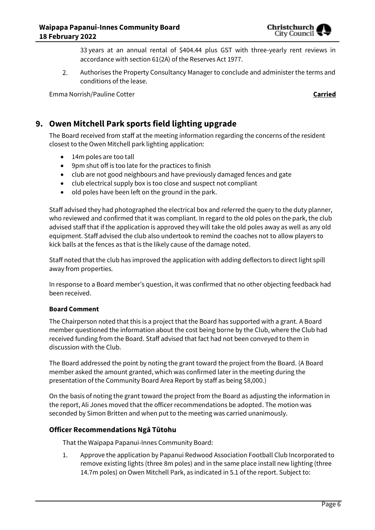

33 years at an annual rental of \$404.44 plus GST with three-yearly rent reviews in accordance with section 61(2A) of the Reserves Act 1977.

 $2.$ Authorises the Property Consultancy Manager to conclude and administer the terms and conditions of the lease.

Emma Norrish/Pauline Cotter **Carried**

# **9. Owen Mitchell Park sports field lighting upgrade**

The Board received from staff at the meeting information regarding the concerns of the resident closest to the Owen Mitchell park lighting application:

- 14m poles are too tall
- 9pm shut off is too late for the practices to finish
- club are not good neighbours and have previously damaged fences and gate
- club electrical supply box is too close and suspect not compliant
- $\bullet$  old poles have been left on the ground in the park.

Staff advised they had photographed the electrical box and referred the query to the duty planner, who reviewed and confirmed that it was compliant. In regard to the old poles on the park, the club advised staff that if the application is approved they will take the old poles away as well as any old equipment. Staff advised the club also undertook to remind the coaches not to allow players to kick balls at the fences as that is the likely cause of the damage noted.

Staff noted that the club has improved the application with adding deflectors to direct light spill away from properties.

In response to a Board member's question, it was confirmed that no other objecting feedback had been received.

#### **Board Comment**

The Chairperson noted that this is a project that the Board has supported with a grant. A Board member questioned the information about the cost being borne by the Club, where the Club had received funding from the Board. Staff advised that fact had not been conveyed to them in discussion with the Club.

The Board addressed the point by noting the grant toward the project from the Board. (A Board member asked the amount granted, which was confirmed later in the meeting during the presentation of the Community Board Area Report by staff as being \$8,000.)

On the basis of noting the grant toward the project from the Board as adjusting the information in the report, Ali Jones moved that the officer recommendations be adopted. The motion was seconded by Simon Britten and when put to the meeting was carried unanimously.

#### **Officer Recommendations Ngā Tūtohu**

That the Waipapa Papanui-Innes Community Board:

1. Approve the application by Papanui Redwood Association Football Club Incorporated to remove existing lights (three 8m poles) and in the same place install new lighting (three 14.7m poles) on Owen Mitchell Park, as indicated in 5.1 of the report. Subject to: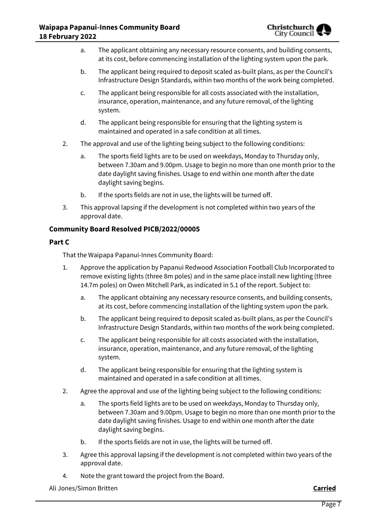- a. The applicant obtaining any necessary resource consents, and building consents, at its cost, before commencing installation of the lighting system upon the park.
- b. The applicant being required to deposit scaled as-built plans, as per the Council's Infrastructure Design Standards, within two months of the work being completed.
- c. The applicant being responsible for all costs associated with the installation, insurance, operation, maintenance, and any future removal, of the lighting system.
- d. The applicant being responsible for ensuring that the lighting system is maintained and operated in a safe condition at all times.
- 2. The approval and use of the lighting being subject to the following conditions:
	- a. The sports field lights are to be used on weekdays, Monday to Thursday only, between 7.30am and 9.00pm. Usage to begin no more than one month prior to the date daylight saving finishes. Usage to end within one month after the date daylight saving begins.
	- b. If the sports fields are not in use, the lights will be turned off.
- 3. This approval lapsing if the development is not completed within two years of the approval date.

#### **Community Board Resolved PICB/2022/00005**

#### **Part C**

That the Waipapa Papanui-Innes Community Board:

- 1. Approve the application by Papanui Redwood Association Football Club Incorporated to remove existing lights (three 8m poles) and in the same place install new lighting (three 14.7m poles) on Owen Mitchell Park, as indicated in 5.1 of the report. Subject to:
	- a. The applicant obtaining any necessary resource consents, and building consents, at its cost, before commencing installation of the lighting system upon the park.
	- b. The applicant being required to deposit scaled as-built plans, as per the Council's Infrastructure Design Standards, within two months of the work being completed.
	- c. The applicant being responsible for all costs associated with the installation, insurance, operation, maintenance, and any future removal, of the lighting system.
	- d. The applicant being responsible for ensuring that the lighting system is maintained and operated in a safe condition at all times.
- 2. Agree the approval and use of the lighting being subject to the following conditions:
	- a. The sports field lights are to be used on weekdays, Monday to Thursday only, between 7.30am and 9.00pm. Usage to begin no more than one month prior to the date daylight saving finishes. Usage to end within one month after the date daylight saving begins.
	- b. If the sports fields are not in use, the lights will be turned off.
- 3. Agree this approval lapsing if the development is not completed within two years of the approval date.
- 4. Note the grant toward the project from the Board.

Ali Jones/Simon Britten **Carried**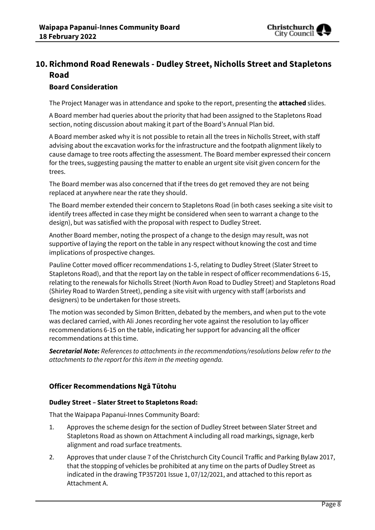

# **10. Richmond Road Renewals - Dudley Street, Nicholls Street and Stapletons Road**

#### **Board Consideration**

The Project Manager was in attendance and spoke to the report, presenting the **attached** slides.

A Board member had queries about the priority that had been assigned to the Stapletons Road section, noting discussion about making it part of the Board's Annual Plan bid.

A Board member asked why it is not possible to retain all the trees in Nicholls Street, with staff advising about the excavation works for the infrastructure and the footpath alignment likely to cause damage to tree roots affecting the assessment. The Board member expressed their concern for the trees, suggesting pausing the matter to enable an urgent site visit given concern for the trees.

The Board member was also concerned that if the trees do get removed they are not being replaced at anywhere near the rate they should.

The Board member extended their concern to Stapletons Road (in both cases seeking a site visit to identify trees affected in case they might be considered when seen to warrant a change to the design), but was satisfied with the proposal with respect to Dudley Street.

Another Board member, noting the prospect of a change to the design may result, was not supportive of laying the report on the table in any respect without knowing the cost and time implications of prospective changes.

Pauline Cotter moved officer recommendations 1-5, relating to Dudley Street (Slater Street to Stapletons Road), and that the report lay on the table in respect of officer recommendations 6-15, relating to the renewals for Nicholls Street (North Avon Road to Dudley Street) and Stapletons Road (Shirley Road to Warden Street), pending a site visit with urgency with staff (arborists and designers) to be undertaken for those streets.

The motion was seconded by Simon Britten, debated by the members, and when put to the vote was declared carried, with Ali Jones recording her vote against the resolution to lay officer recommendations 6-15 on the table, indicating her support for advancing all the officer recommendations at this time.

*Secretarial Note: References to attachments in the recommendations/resolutions below refer to the attachments to the report for this item in the meeting agenda.*

## **Officer Recommendations Ngā Tūtohu**

#### **Dudley Street – Slater Street to Stapletons Road:**

That the Waipapa Papanui-Innes Community Board:

- 1. Approves the scheme design for the section of Dudley Street between Slater Street and Stapletons Road as shown on Attachment A including all road markings, signage, kerb alignment and road surface treatments.
- 2. Approves that under clause 7 of the Christchurch City Council Traffic and Parking Bylaw 2017, that the stopping of vehicles be prohibited at any time on the parts of Dudley Street as indicated in the drawing TP357201 Issue 1, 07/12/2021, and attached to this report as Attachment A.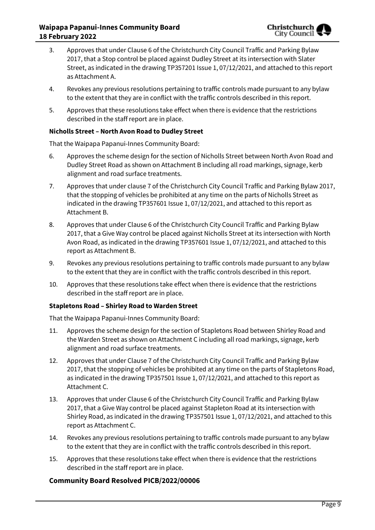- 3. Approves that under Clause 6 of the Christchurch City Council Traffic and Parking Bylaw 2017, that a Stop control be placed against Dudley Street at its intersection with Slater Street, as indicated in the drawing TP357201 Issue 1, 07/12/2021, and attached to this report as Attachment A.
- 4. Revokes any previous resolutions pertaining to traffic controls made pursuant to any bylaw to the extent that they are in conflict with the traffic controls described in this report.
- 5. Approves that these resolutions take effect when there is evidence that the restrictions described in the staff report are in place.

#### **Nicholls Street – North Avon Road to Dudley Street**

That the Waipapa Papanui-Innes Community Board:

- 6. Approves the scheme design for the section of Nicholls Street between North Avon Road and Dudley Street Road as shown on Attachment B including all road markings, signage, kerb alignment and road surface treatments.
- 7. Approves that under clause 7 of the Christchurch City Council Traffic and Parking Bylaw 2017, that the stopping of vehicles be prohibited at any time on the parts of Nicholls Street as indicated in the drawing TP357601 Issue 1, 07/12/2021, and attached to this report as Attachment B.
- 8. Approves that under Clause 6 of the Christchurch City Council Traffic and Parking Bylaw 2017, that a Give Way control be placed against Nicholls Street at its intersection with North Avon Road, as indicated in the drawing TP357601 Issue 1, 07/12/2021, and attached to this report as Attachment B.
- 9. Revokes any previous resolutions pertaining to traffic controls made pursuant to any bylaw to the extent that they are in conflict with the traffic controls described in this report.
- 10. Approves that these resolutions take effect when there is evidence that the restrictions described in the staff report are in place.

#### **Stapletons Road – Shirley Road to Warden Street**

That the Waipapa Papanui-Innes Community Board:

- 11. Approves the scheme design for the section of Stapletons Road between Shirley Road and the Warden Street as shown on Attachment C including all road markings, signage, kerb alignment and road surface treatments.
- 12. Approves that under Clause 7 of the Christchurch City Council Traffic and Parking Bylaw 2017, that the stopping of vehicles be prohibited at any time on the parts of Stapletons Road, as indicated in the drawing TP357501 Issue 1, 07/12/2021, and attached to this report as Attachment C.
- 13. Approves that under Clause 6 of the Christchurch City Council Traffic and Parking Bylaw 2017, that a Give Way control be placed against Stapleton Road at its intersection with Shirley Road, as indicated in the drawing TP357501 Issue 1, 07/12/2021, and attached to this report as Attachment C.
- 14. Revokes any previous resolutions pertaining to traffic controls made pursuant to any bylaw to the extent that they are in conflict with the traffic controls described in this report.
- 15. Approves that these resolutions take effect when there is evidence that the restrictions described in the staff report are in place.

#### **Community Board Resolved PICB/2022/00006**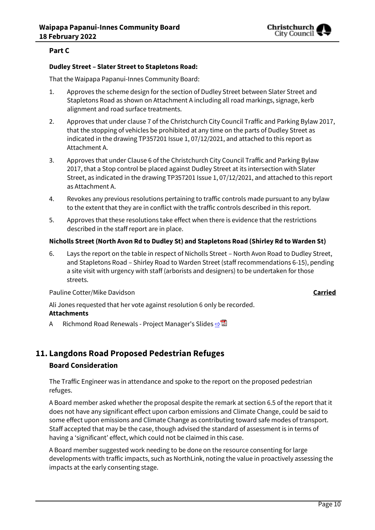

#### **Part C**

#### **Dudley Street – Slater Street to Stapletons Road:**

That the Waipapa Papanui-Innes Community Board:

- 1. Approves the scheme design for the section of Dudley Street between Slater Street and Stapletons Road as shown on Attachment A including all road markings, signage, kerb alignment and road surface treatments.
- 2. Approves that under clause 7 of the Christchurch City Council Traffic and Parking Bylaw 2017, that the stopping of vehicles be prohibited at any time on the parts of Dudley Street as indicated in the drawing TP357201 Issue 1, 07/12/2021, and attached to this report as Attachment A.
- 3. Approves that under Clause 6 of the Christchurch City Council Traffic and Parking Bylaw 2017, that a Stop control be placed against Dudley Street at its intersection with Slater Street, as indicated in the drawing TP357201 Issue 1, 07/12/2021, and attached to this report as Attachment A.
- 4. Revokes any previous resolutions pertaining to traffic controls made pursuant to any bylaw to the extent that they are in conflict with the traffic controls described in this report.
- 5. Approves that these resolutions take effect when there is evidence that the restrictions described in the staff report are in place.

#### **Nicholls Street (North Avon Rd to Dudley St) and Stapletons Road (Shirley Rd to Warden St)**

6. Lays the report on the table in respect of Nicholls Street – North Avon Road to Dudley Street, and Stapletons Road – Shirley Road to Warden Street (staff recommendations 6-15), pending a site visit with urgency with staff (arborists and designers) to be undertaken for those streets.

Pauline Cotter/Mike Davidson **Carried**

Ali Jones requested that her vote against resolution 6 only be recorded.

- **Attachments**
- A Richmond Road Renewals Project Manager's Slides [⇨](../../../RedirectToInvalidFileName.aspx?FileName=PICB_20220218_MAT_7644.PDF#PAGE=11)

# **11. Langdons Road Proposed Pedestrian Refuges**

#### **Board Consideration**

The Traffic Engineer was in attendance and spoke to the report on the proposed pedestrian refuges.

A Board member asked whether the proposal despite the remark at section 6.5 of the report that it does not have any significant effect upon carbon emissions and Climate Change, could be said to some effect upon emissions and Climate Change as contributing toward safe modes of transport. Staff accepted that may be the case, though advised the standard of assessment is in terms of having a 'significant' effect, which could not be claimed in this case.

A Board member suggested work needing to be done on the resource consenting for large developments with traffic impacts, such as NorthLink, noting the value in proactively assessing the impacts at the early consenting stage.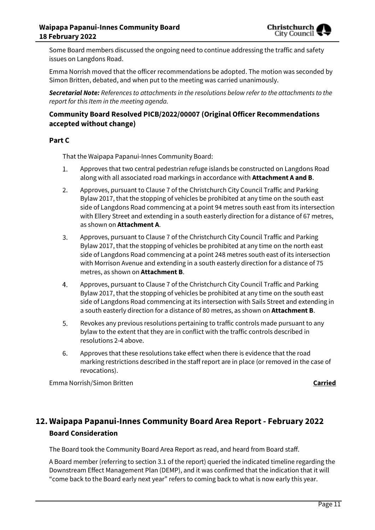Some Board members discussed the ongoing need to continue addressing the traffic and safety issues on Langdons Road.

Emma Norrish moved that the officer recommendations be adopted. The motion was seconded by Simon Britten, debated, and when put to the meeting was carried unanimously.

*Secretarial Note: References to attachments in the resolutions below refer to the attachments to the report for this Item in the meeting agenda.*

#### **Community Board Resolved PICB/2022/00007 (Original Officer Recommendations accepted without change)**

#### **Part C**

That the Waipapa Papanui-Innes Community Board:

- Approves that two central pedestrian refuge islands be constructed on Langdons Road 1. along with all associated road markings in accordance with **Attachment A and B**.
- $2.$ Approves, pursuant to Clause 7 of the Christchurch City Council Traffic and Parking Bylaw 2017, that the stopping of vehicles be prohibited at any time on the south east side of Langdons Road commencing at a point 94 metres south east from its intersection with Ellery Street and extending in a south easterly direction for a distance of 67 metres, as shown on **Attachment A**.
- 3. Approves, pursuant to Clause 7 of the Christchurch City Council Traffic and Parking Bylaw 2017, that the stopping of vehicles be prohibited at any time on the north east side of Langdons Road commencing at a point 248 metres south east of its intersection with Morrison Avenue and extending in a south easterly direction for a distance of 75 metres, as shown on **Attachment B**.
- 4. Approves, pursuant to Clause 7 of the Christchurch City Council Traffic and Parking Bylaw 2017, that the stopping of vehicles be prohibited at any time on the south east side of Langdons Road commencing at its intersection with Sails Street and extending in a south easterly direction for a distance of 80 metres, as shown on **Attachment B**.
- 5. Revokes any previous resolutions pertaining to traffic controls made pursuant to any bylaw to the extent that they are in conflict with the traffic controls described in resolutions 2-4 above.
- 6. Approves that these resolutions take effect when there is evidence that the road marking restrictions described in the staff report are in place (or removed in the case of revocations).

Emma Norrish/Simon Britten **Carried**

# **12. Waipapa Papanui-Innes Community Board Area Report - February 2022 Board Consideration**

The Board took the Community Board Area Report as read, and heard from Board staff.

A Board member (referring to section 3.1 of the report) queried the indicated timeline regarding the Downstream Effect Management Plan (DEMP), and it was confirmed that the indication that it will "come back to the Board early next year" refers to coming back to what is now early this year.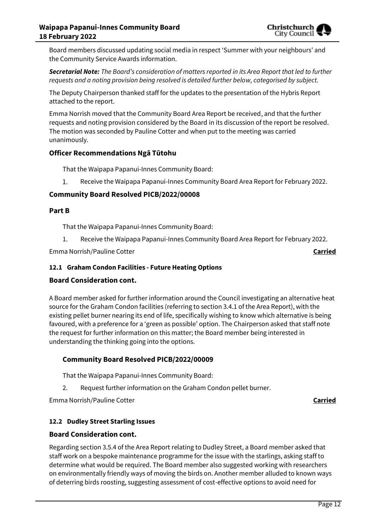

Board members discussed updating social media in respect 'Summer with your neighbours' and the Community Service Awards information.

*Secretarial Note: The Board's consideration of matters reported in its Area Report that led to further requests and a noting provision being resolved is detailed further below, categorised by subject.* 

The Deputy Chairperson thanked staff for the updates to the presentation of the Hybris Report attached to the report.

Emma Norrish moved that the Community Board Area Report be received, and that the further requests and noting provision considered by the Board in its discussion of the report be resolved. The motion was seconded by Pauline Cotter and when put to the meeting was carried unanimously.

#### **Officer Recommendations Ngā Tūtohu**

That the Waipapa Papanui-Innes Community Board:

1. Receive the Waipapa Papanui-Innes Community Board Area Report for February 2022.

#### **Community Board Resolved PICB/2022/00008**

#### **Part B**

That the Waipapa Papanui-Innes Community Board:

1. Receive the Waipapa Papanui-Innes Community Board Area Report for February 2022.

Emma Norrish/Pauline Cotter **Carried**

#### **12.1 Graham Condon Facilities - Future Heating Options**

#### **Board Consideration cont.**

A Board member asked for further information around the Council investigating an alternative heat source for the Graham Condon facilities (referring to section 3.4.1 of the Area Report), with the existing pellet burner nearing its end of life, specifically wishing to know which alternative is being favoured, with a preference for a 'green as possible' option. The Chairperson asked that staff note the request for further information on this matter; the Board member being interested in understanding the thinking going into the options.

#### **Community Board Resolved PICB/2022/00009**

That the Waipapa Papanui-Innes Community Board:

2. Request further information on the Graham Condon pellet burner.

Emma Norrish/Pauline Cotter **Carried**

#### **12.2 Dudley Street Starling Issues**

#### **Board Consideration cont.**

Regarding section 3.5.4 of the Area Report relating to Dudley Street, a Board member asked that staff work on a bespoke maintenance programme for the issue with the starlings, asking staff to determine what would be required. The Board member also suggested working with researchers on environmentally friendly ways of moving the birds on. Another member alluded to known ways of deterring birds roosting, suggesting assessment of cost-effective options to avoid need for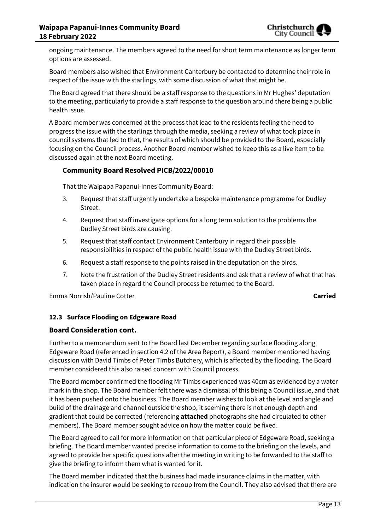ongoing maintenance. The members agreed to the need for short term maintenance as longer term options are assessed.

Board members also wished that Environment Canterbury be contacted to determine their role in respect of the issue with the starlings, with some discussion of what that might be.

The Board agreed that there should be a staff response to the questions in Mr Hughes' deputation to the meeting, particularly to provide a staff response to the question around there being a public health issue.

A Board member was concerned at the process that lead to the residents feeling the need to progress the issue with the starlings through the media, seeking a review of what took place in council systems that led to that, the results of which should be provided to the Board, especially focusing on the Council process. Another Board member wished to keep this as a live item to be discussed again at the next Board meeting.

#### **Community Board Resolved PICB/2022/00010**

That the Waipapa Papanui-Innes Community Board:

- 3. Request that staff urgently undertake a bespoke maintenance programme for Dudley Street.
- 4. Request that staff investigate options for a long term solution to the problems the Dudley Street birds are causing.
- 5. Request that staff contact Environment Canterbury in regard their possible responsibilities in respect of the public health issue with the Dudley Street birds.
- 6. Request a staff response to the points raised in the deputation on the birds.
- 7. Note the frustration of the Dudley Street residents and ask that a review of what that has taken place in regard the Council process be returned to the Board.

Emma Norrish/Pauline Cotter **Carried**

#### **12.3 Surface Flooding on Edgeware Road**

#### **Board Consideration cont.**

Further to a memorandum sent to the Board last December regarding surface flooding along Edgeware Road (referenced in section 4.2 of the Area Report), a Board member mentioned having discussion with David Timbs of Peter Timbs Butchery, which is affected by the flooding. The Board member considered this also raised concern with Council process.

The Board member confirmed the flooding Mr Timbs experienced was 40cm as evidenced by a water mark in the shop. The Board member felt there was a dismissal of this being a Council issue, and that it has been pushed onto the business. The Board member wishes to look at the level and angle and build of the drainage and channel outside the shop, it seeming there is not enough depth and gradient that could be corrected (referencing **attached** photographs she had circulated to other members). The Board member sought advice on how the matter could be fixed.

The Board agreed to call for more information on that particular piece of Edgeware Road, seeking a briefing. The Board member wanted precise information to come to the briefing on the levels, and agreed to provide her specific questions after the meeting in writing to be forwarded to the staff to give the briefing to inform them what is wanted for it.

The Board member indicated that the business had made insurance claims in the matter, with indication the insurer would be seeking to recoup from the Council. They also advised that there are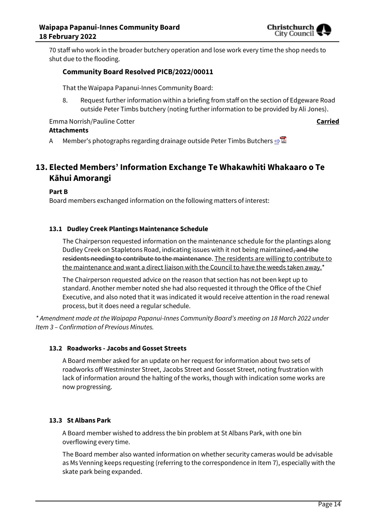

70 staff who work in the broader butchery operation and lose work every time the shop needs to shut due to the flooding.

#### **Community Board Resolved PICB/2022/00011**

That the Waipapa Papanui-Innes Community Board:

8. Request further information within a briefing from staff on the section of Edgeware Road outside Peter Timbs butchery (noting further information to be provided by Ali Jones).

Emma Norrish/Pauline Cotter **Carried Attachments**

A Member's photographs regarding drainage outside Peter Timbs Butchers **[⇨](../../../RedirectToInvalidFileName.aspx?FileName=PICB_20220218_MAT_7644.PDF#PAGE=15)</u> </u>** 

# **13. Elected Members' Information Exchange Te Whakawhiti Whakaaro o Te Kāhui Amorangi**

**Part B**

Board members exchanged information on the following matters of interest:

#### **13.1 Dudley Creek Plantings Maintenance Schedule**

The Chairperson requested information on the maintenance schedule for the plantings along Dudley Creek on Stapletons Road, indicating issues with it not being maintained, and the residents needing to contribute to the maintenance. The residents are willing to contribute to the maintenance and want a direct liaison with the Council to have the weeds taken away.\*

The Chairperson requested advice on the reason that section has not been kept up to standard. Another member noted she had also requested it through the Office of the Chief Executive, and also noted that it was indicated it would receive attention in the road renewal process, but it does need a regular schedule.

*\* Amendment made at the Waipapa Papanui-Innes Community Board's meeting on 18 March 2022 under Item 3 – Confirmation of Previous Minutes.*

#### **13.2 Roadworks - Jacobs and Gosset Streets**

A Board member asked for an update on her request for information about two sets of roadworks off Westminster Street, Jacobs Street and Gosset Street, noting frustration with lack of information around the halting of the works, though with indication some works are now progressing.

#### **13.3 St Albans Park**

A Board member wished to address the bin problem at St Albans Park, with one bin overflowing every time.

The Board member also wanted information on whether security cameras would be advisable as Ms Venning keeps requesting (referring to the correspondence in Item 7), especially with the skate park being expanded.